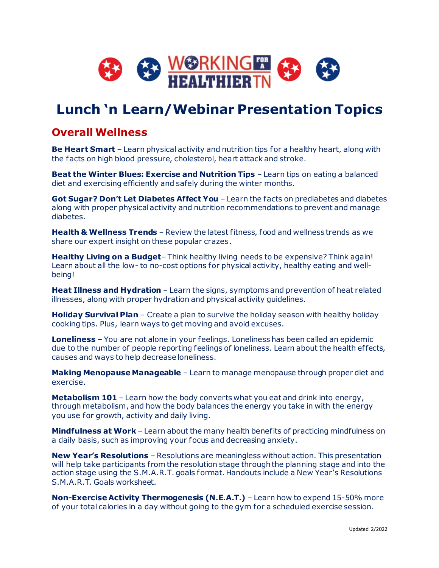

# **Lunch 'n Learn/Webinar Presentation Topics**

#### **Overall Wellness**

**Be Heart Smart** – Learn physical activity and nutrition tips for a healthy heart, along with the facts on high blood pressure, cholesterol, heart attack and stroke.

**Beat the Winter Blues: Exercise and Nutrition Tips** – Learn tips on eating a balanced diet and exercising efficiently and safely during the winter months.

**Got Sugar? Don't Let Diabetes Affect You** – Learn the facts on prediabetes and diabetes along with proper physical activity and nutrition recommendations to prevent and manage diabetes.

**Health & Wellness Trends** – Review the latest fitness, food and wellness trends as we share our expert insight on these popular crazes.

**Healthy Living on a Budget**– Think healthy living needs to be expensive? Think again! Learn about all the low- to no-cost options for physical activity, healthy eating and wellbeing!

**Heat Illness and Hydration** – Learn the signs, symptoms and prevention of heat related illnesses, along with proper hydration and physical activity guidelines.

**Holiday Survival Plan** – Create a plan to survive the holiday season with healthy holiday cooking tips. Plus, learn ways to get moving and avoid excuses.

**Loneliness** – You are not alone in your feelings. Loneliness has been called an epidemic due to the number of people reporting feelings of loneliness. Learn about the health effects, causes and ways to help decrease loneliness.

**Making Menopause Manageable** – Learn to manage menopause through proper diet and exercise.

**Metabolism 101** – Learn how the body converts what you eat and drink into energy, through metabolism, and how the body balances the energy you take in with the energy you use for growth, activity and daily living.

**Mindfulness at Work** – Learn about the many health benefits of practicing mindfulness on a daily basis, such as improving your focus and decreasing anxiety.

**New Year's Resolutions** – Resolutions are meaningless without action. This presentation will help take participants from the resolution stage through the planning stage and into the action stage using the S.M.A.R.T. goals format. Handouts include a New Year's Resolutions S.M.A.R.T. Goals worksheet.

**Non-Exercise Activity Thermogenesis (N.E.A.T.)** – Learn how to expend 15-50% more of your total calories in a day without going to the gym for a scheduled exercise session.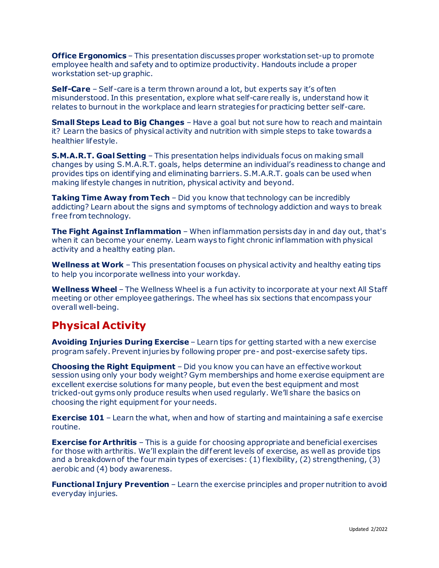**Office Ergonomics** – This presentation discusses proper workstation set-up to promote employee health and safety and to optimize productivity. Handouts include a proper workstation set-up graphic.

**Self-Care** – Self-care is a term thrown around a lot, but experts say it's often misunderstood. In this presentation, explore what self-care really is, understand how it relates to burnout in the workplace and learn strategies for practicing better self-care.

**Small Steps Lead to Big Changes** – Have a goal but not sure how to reach and maintain it? Learn the basics of physical activity and nutrition with simple steps to take towards a healthier lifestyle.

**S.M.A.R.T. Goal Setting** – This presentation helps individuals focus on making small changes by using S.M.A.R.T. goals, helps determine an individual's readiness to change and provides tips on identifying and eliminating barriers. S.M.A.R.T. goals can be used when making lifestyle changes in nutrition, physical activity and beyond.

**Taking Time Away from Tech** – Did you know that technology can be incredibly addicting? Learn about the signs and symptoms of technology addiction and ways to break f ree from technology.

**The Fight Against Inflammation** – When inflammation persists day in and day out, that's when it can become your enemy. Learn ways to fight chronic inflammation with physical activity and a healthy eating plan.

**Wellness at Work** – This presentation focuses on physical activity and healthy eating tips to help you incorporate wellness into your workday.

**Wellness Wheel** – The Wellness Wheel is a fun activity to incorporate at your next All Staff meeting or other employee gatherings. The wheel has six sections that encompass your overall well-being.

### **Physical Activity**

**Avoiding Injuries During Exercise** – Learn tips for getting started with a new exercise program safely. Prevent injuries by following proper pre- and post-exercise safety tips.

**Choosing the Right Equipment** – Did you know you can have an effective workout session using only your body weight? Gym memberships and home exercise equipment are excellent exercise solutions for many people, but even the best equipment and most tricked-out gyms only produce results when used regularly. We'll share the basics on choosing the right equipment for your needs.

**Exercise 101** – Learn the what, when and how of starting and maintaining a safe exercise routine.

**Exercise for Arthritis** – This is a quide for choosing appropriate and beneficial exercises for those with arthritis. We'll explain the different levels of exercise, as well as provide tips and a breakdownof the four main types of exercises: (1) flexibility, (2) strengthening, (3) aerobic and (4) body awareness.

**Functional Injury Prevention** – Learn the exercise principles and proper nutrition to avoid everyday injuries.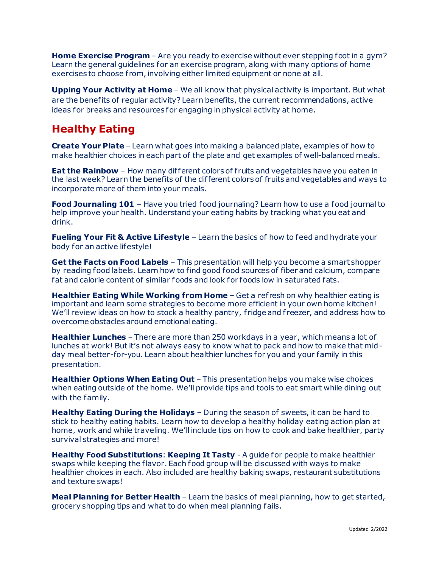**Home Exercise Program** – Are you ready to exercise without ever stepping foot in a gym? Learn the general guidelines for an exercise program, along with many options of home exercises to choose from, involving either limited equipment or none at all.

**Upping Your Activity at Home** – We all know that physical activity is important. But what are the benefits of regular activity? Learn benefits, the current recommendations, active ideas for breaks and resources for engaging in physical activity at home.

## **Healthy Eating**

**Create Your Plate** – Learn what goes into making a balanced plate, examples of how to make healthier choices in each part of the plate and get examples of well-balanced meals.

**Eat the Rainbow** – How many different colors of fruits and vegetables have you eaten in the last week? Learn the benefits of the dif ferent colors of fruits and vegetables and ways to incorporate more of them into your meals.

**Food Journaling 101** – Have you tried food journaling? Learn how to use a food journal to help improve your health. Understand your eating habits by tracking what you eat and drink.

**Fueling Your Fit & Active Lifestyle** – Learn the basics of how to feed and hydrate your body for an active lifestyle!

**Get the Facts on Food Labels** – This presentation will help you become a smart shopper by reading food labels. Learn how to find good food sources of fiber and calcium, compare fat and calorie content of similar foods and look for foods low in saturated fats.

**Healthier Eating While Working from Home** - Get a refresh on why healthier eating is important and learn some strategies to become more efficient in your own home kitchen! We'll review ideas on how to stock a healthy pantry, fridge and freezer, and address how to overcome obstacles around emotional eating.

**Healthier Lunches** – There are more than 250 workdays in a year, which means a lot of lunches at work! But it's not always easy to know what to pack and how to make that midday meal better-for-you. Learn about healthier lunches for you and your family in this presentation.

**Healthier Options When Eating Out** – This presentation helps you make wise choices when eating outside of the home. We'll provide tips and tools to eat smart while dining out with the family.

**Healthy Eating During the Holidays** – During the season of sweets, it can be hard to stick to healthy eating habits. Learn how to develop a healthy holiday eating action plan at home, work and while traveling. We'll include tips on how to cook and bake healthier, party survival strategies and more!

**Healthy Food Substitutions**: **Keeping It Tasty** - A guide for people to make healthier swaps while keeping the flavor. Each food group will be discussed with ways to make healthier choices in each. Also included are healthy baking swaps, restaurant substitutions and texture swaps!

**Meal Planning for Better Health** – Learn the basics of meal planning, how to get started, grocery shopping tips and what to do when meal planning fails.